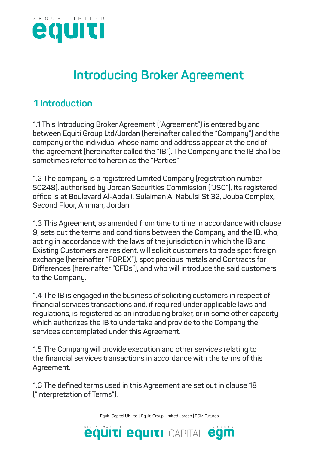

# **Introducing Broker Agreement**

# **1 Introduction**

**1.1 This Introducing Broker Agreement ("Agreement") is entered by and between Equiti Group Ltd/Jordan (hereinafter called the "Company") and the company or the individual whose name and address appear at the end of this agreement (hereinafter called the "IB"). The Company and the IB shall be sometimes referred to herein as the "Parties".**

**1.2 The company is a registered Limited Company (registration number 50248), authorised by Jordan Securities Commission ("JSC"), Its registered office is at Boulevard Al-Abdali, Sulaiman Al Nabulsi St 32, Jouba Complex, Second Floor, Amman, Jordan.**

**1.3 This Agreement, as amended from time to time in accordance with clause 9, sets out the terms and conditions between the Company and the IB, who, acting in accordance with the laws of the jurisdiction in which the IB and Existing Customers are resident, will solicit customers to trade spot foreign exchange (hereinafter "FOREX"), spot precious metals and Contracts for Differences (hereinafter "CFDs"), and who will introduce the said customers to the Company.**

**1.4 The IB is engaged in the business of soliciting customers in respect of financial services transactions and, if required under applicable laws and regulations, is registered as an introducing broker, or in some other capacity which authorizes the IB to undertake and provide to the Company the services contemplated under this Agreement.**

**1.5 The Company will provide execution and other services relating to the financial services transactions in accordance with the terms of this Agreement.**

**1.6 The defined terms used in this Agreement are set out in clause 18 ("Interpretation of Terms")**.

Equiti Capital UK Ltd. | Equiti Group Limited Jordan | EGM Futures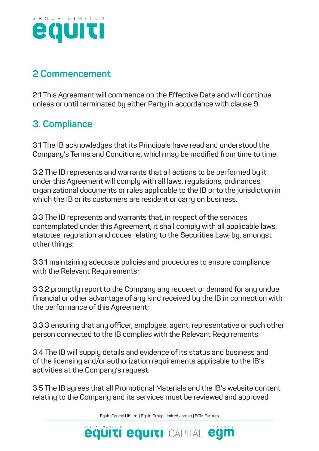

# **2 Commencement**

**2.1 This Agreement will commence on the Effective Date and will continue unless or until terminated by either Party in accordance with clause 9.**

# **3. Compliance**

**3.1 The IB acknowledges that its Principals have read and understood the Company's Terms and Conditions, which may be modified from time to time.** 

**3.2 The IB represents and warrants that all actions to be performed by it under this Agreement will comply with all laws, regulations, ordinances, organizational documents or rules applicable to the IB or to the jurisdiction in which the IB or its customers are resident or carry on business.** 

**3.3 The IB represents and warrants that, in respect of the services contemplated under this Agreement, it shall comply with all applicable laws, statutes, regulation and codes relating to the Securities Law, by, amongst other things:**

**3.3.1 maintaining adequate policies and procedures to ensure compliance with the Relevant Requirements;**

**3.3.2 promptly report to the Company any request or demand for any undue financial or other advantage of any kind received by the IB in connection with the performance of this Agreement;**

**3.3.3 ensuring that any officer, employee, agent, representative or such other person connected to the IB complies with the Relevant Requirements.**

**3.4 The IB will supply details and evidence of its status and business and of the licensing and/or authorization requirements applicable to the IB's activities at the Company's request.**

**3.5 The IB agrees that all Promotional Materials and the IB's website content relating to the Company and its services must be reviewed and approved**

Equiti Capital UK Ltd. | Equiti Group Limited Jordan | EGM Futures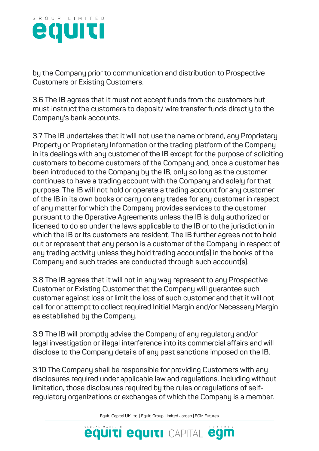

**by the Company prior to communication and distribution to Prospective Customers or Existing Customers.**

**3.6 The IB agrees that it must not accept funds from the customers but must instruct the customers to deposit/ wire transfer funds directly to the Company's bank accounts.** 

**3.7 The IB undertakes that it will not use the name or brand, any Proprietary Property or Proprietary Information or the trading platform of the Company in its dealings with any customer of the IB except for the purpose of soliciting customers to become customers of the Company and, once a customer has been introduced to the Company by the IB, only so long as the customer continues to have a trading account with the Company and solely for that purpose. The IB will not hold or operate a trading account for any customer of the IB in its own books or carry on any trades for any customer in respect of any matter for which the Company provides services to the customer pursuant to the Operative Agreements unless the IB is duly authorized or licensed to do so under the laws applicable to the IB or to the jurisdiction in which the IB or its customers are resident. The IB further agrees not to hold out or represent that any person is a customer of the Company in respect of any trading activity unless they hold trading account(s) in the books of the Company and such trades are conducted through such account(s).**

**3.8 The IB agrees that it will not in any way represent to any Prospective Customer or Existing Customer that the Company will guarantee such customer against loss or limit the loss of such customer and that it will not call for or attempt to collect required Initial Margin and/or Necessary Margin as established by the Company.**

**3.9 The IB will promptly advise the Company of any regulatory and/or legal investigation or illegal interference into its commercial affairs and will disclose to the Company details of any past sanctions imposed on the IB.** 

**3.10 The Company shall be responsible for providing Customers with any disclosures required under applicable law and regulations, including without limitation, those disclosures required by the rules or regulations of selfregulatory organizations or exchanges of which the Company is a member.** 

Equiti Capital UK Ltd. | Equiti Group Limited Jordan | EGM Futures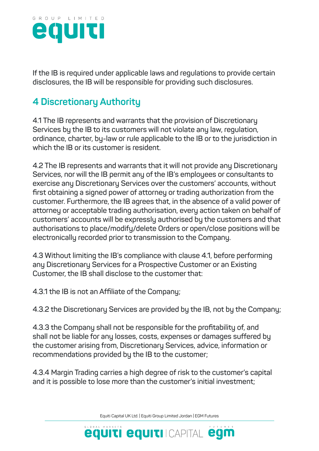

**If the IB is required under applicable laws and regulations to provide certain disclosures, the IB will be responsible for providing such disclosures.**

# **4 Discretionary Authority**

**4.1 The IB represents and warrants that the provision of Discretionary Services by the IB to its customers will not violate any law, regulation, ordinance, charter, by-law or rule applicable to the IB or to the jurisdiction in which the IB or its customer is resident.**

**4.2 The IB represents and warrants that it will not provide any Discretionary Services, nor will the IB permit any of the IB's employees or consultants to exercise any Discretionary Services over the customers' accounts, without first obtaining a signed power of attorney or trading authorization from the customer. Furthermore, the IB agrees that, in the absence of a valid power of attorney or acceptable trading authorisation, every action taken on behalf of customers' accounts will be expressly authorised by the customers and that authorisations to place/modify/delete Orders or open/close positions will be electronically recorded prior to transmission to the Company.**

**4.3 Without limiting the IB's compliance with clause 4.1, before performing any Discretionary Services for a Prospective Customer or an Existing Customer, the IB shall disclose to the customer that:**

**4.3.1 the IB is not an Affiliate of the Company;**

**4.3.2 the Discretionary Services are provided by the IB, not by the Company;**

**4.3.3 the Company shall not be responsible for the profitability of, and shall not be liable for any losses, costs, expenses or damages suffered by the customer arising from, Discretionary Services, advice, information or recommendations provided by the IB to the customer;**

**4.3.4 Margin Trading carries a high degree of risk to the customer's capital and it is possible to lose more than the customer's initial investment;**

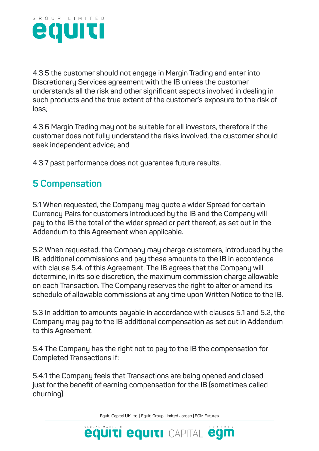

**4.3.5 the customer should not engage in Margin Trading and enter into Discretionary Services agreement with the IB unless the customer understands all the risk and other significant aspects involved in dealing in such products and the true extent of the customer's exposure to the risk of loss;**

**4.3.6 Margin Trading may not be suitable for all investors, therefore if the customer does not fully understand the risks involved, the customer should seek independent advice; and**

**4.3.7 past performance does not guarantee future results.**

# **5 Compensation**

**5.1 When requested, the Company may quote a wider Spread for certain Currency Pairs for customers introduced by the IB and the Company will pay to the IB the total of the wider spread or part thereof, as set out in the Addendum to this Agreement when applicable.**

**5.2 When requested, the Company may charge customers, introduced by the IB, additional commissions and pay these amounts to the IB in accordance with clause 5.4. of this Agreement. The IB agrees that the Company will determine, in its sole discretion, the maximum commission charge allowable on each Transaction. The Company reserves the right to alter or amend its schedule of allowable commissions at any time upon Written Notice to the IB.**

**5.3 In addition to amounts payable in accordance with clauses 5.1 and 5.2, the Company may pay to the IB additional compensation as set out in Addendum to this Agreement.**

**5.4 The Company has the right not to pay to the IB the compensation for Completed Transactions if:**

**5.4.1 the Company feels that Transactions are being opened and closed just for the benefit of earning compensation for the IB (sometimes called churning).**

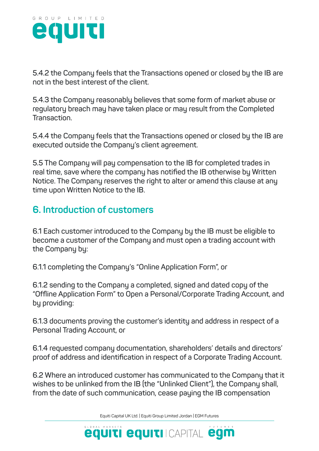

**5.4.2 the Company feels that the Transactions opened or closed by the IB are not in the best interest of the client.**

**5.4.3 the Company reasonably believes that some form of market abuse or regulatory breach may have taken place or may result from the Completed Transaction.**

**5.4.4 the Company feels that the Transactions opened or closed by the IB are executed outside the Company's client agreement.**

**5.5 The Company will pay compensation to the IB for completed trades in real time, save where the company has notified the IB otherwise by Written Notice. The Company reserves the right to alter or amend this clause at any time upon Written Notice to the IB.**

#### **6. Introduction of customers**

**6.1 Each customer introduced to the Company by the IB must be eligible to become a customer of the Company and must open a trading account with the Company by:**

**6.1.1 completing the Company's "Online Application Form", or**

**6.1.2 sending to the Company a completed, signed and dated copy of the "Offline Application Form" to Open a Personal/Corporate Trading Account, and by providing:**

**6.1.3 documents proving the customer's identity and address in respect of a Personal Trading Account, or**

**6.1.4 requested company documentation, shareholders' details and directors' proof of address and identification in respect of a Corporate Trading Account.**

**6.2 Where an introduced customer has communicated to the Company that it wishes to be unlinked from the IB (the "Unlinked Client"), the Company shall, from the date of such communication, cease paying the IB compensation**

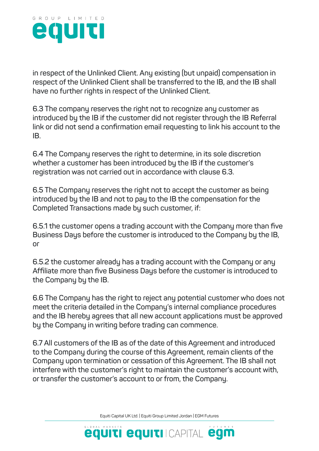

**in respect of the Unlinked Client. Any existing (but unpaid) compensation in respect of the Unlinked Client shall be transferred to the IB, and the IB shall have no further rights in respect of the Unlinked Client.**

**6.3 The company reserves the right not to recognize any customer as introduced by the IB if the customer did not register through the IB Referral link or did not send a confirmation email requesting to link his account to the IB.** 

**6.4 The Company reserves the right to determine, in its sole discretion whether a customer has been introduced by the IB if the customer's registration was not carried out in accordance with clause 6.3.**

**6.5 The Company reserves the right not to accept the customer as being introduced by the IB and not to pay to the IB the compensation for the Completed Transactions made by such customer, if:**

**6.5.1 the customer opens a trading account with the Company more than five Business Days before the customer is introduced to the Company by the IB, or**

**6.5.2 the customer already has a trading account with the Company or any Affiliate more than five Business Days before the customer is introduced to the Company by the IB.**

**6.6 The Company has the right to reject any potential customer who does not meet the criteria detailed in the Company's internal compliance procedures and the IB hereby agrees that all new account applications must be approved by the Company in writing before trading can commence.**

**6.7 All customers of the IB as of the date of this Agreement and introduced to the Company during the course of this Agreement, remain clients of the Company upon termination or cessation of this Agreement. The IB shall not interfere with the customer's right to maintain the customer's account with, or transfer the customer's account to or from, the Company.**

Equiti Capital UK Ltd. | Equiti Group Limited Jordan | EGM Futures

**equiti equiti** Icapital egm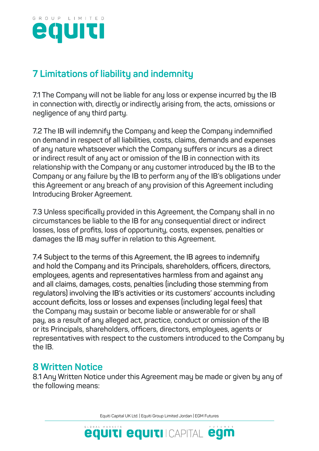

## **7 Limitations of liability and indemnity**

**7.1 The Company will not be liable for any loss or expense incurred by the IB in connection with, directly or indirectly arising from, the acts, omissions or negligence of any third party.**

**7.2 The IB will indemnify the Company and keep the Company indemnified on demand in respect of all liabilities, costs, claims, demands and expenses of any nature whatsoever which the Company suffers or incurs as a direct or indirect result of any act or omission of the IB in connection with its relationship with the Company or any customer introduced by the IB to the Company or any failure by the IB to perform any of the IB's obligations under this Agreement or any breach of any provision of this Agreement including Introducing Broker Agreement.**

**7.3 Unless specifically provided in this Agreement, the Company shall in no circumstances be liable to the IB for any consequential direct or indirect losses, loss of profits, loss of opportunity, costs, expenses, penalties or damages the IB may suffer in relation to this Agreement.**

**7.4 Subject to the terms of this Agreement, the IB agrees to indemnify and hold the Company and its Principals, shareholders, officers, directors, employees, agents and representatives harmless from and against any and all claims, damages, costs, penalties (including those stemming from regulators) involving the IB's activities or its customers' accounts including account deficits, loss or losses and expenses (including legal fees) that the Company may sustain or become liable or answerable for or shall pay, as a result of any alleged act, practice, conduct or omission of the IB or its Principals, shareholders, officers, directors, employees, agents or representatives with respect to the customers introduced to the Company by the IB.**

#### **8 Written Notice**

**8.1 Any Written Notice under this Agreement may be made or given by any of the following means:**

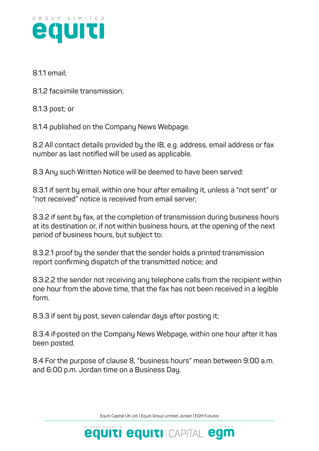

#### **8.1.1 email;**

**8.1.2 facsimile transmission;**

**8.1.3 post; or**

**8.1.4 published on the Company News Webpage.**

**8.2 All contact details provided by the IB, e.g. address, email address or fax number as last notified will be used as applicable.**

**8.3 Any such Written Notice will be deemed to have been served:**

**8.3.1 if sent by email, within one hour after emailing it, unless a "not sent" or "not received" notice is received from email server;**

**8.3.2 if sent by fax, at the completion of transmission during business hours at its destination or, if not within business hours, at the opening of the next period of business hours, but subject to:**

**8.3.2.1 proof by the sender that the sender holds a printed transmission report confirming dispatch of the transmitted notice; and**

**8.3.2.2 the sender not receiving any telephone calls from the recipient within one hour from the above time, that the fax has not been received in a legible form.**

**8.3.3 if sent by post, seven calendar days after posting it;**

**8.3.4 if posted on the Company News Webpage, within one hour after it has been posted.**

**8.4 For the purpose of clause 8, "business hours" mean between 9:00 a.m. and 6:00 p.m. Jordan time on a Business Day.**

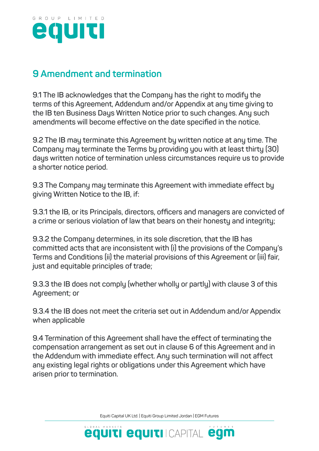

#### **9 Amendment and termination**

**9.1 The IB acknowledges that the Company has the right to modify the terms of this Agreement, Addendum and/or Appendix at any time giving to the IB ten Business Days Written Notice prior to such changes. Any such amendments will become effective on the date specified in the notice.**

**9.2 The IB may terminate this Agreement by written notice at any time. The Company may terminate the Terms by providing you with at least thirty (30) days written notice of termination unless circumstances require us to provide a shorter notice period.**

**9.3 The Company may terminate this Agreement with immediate effect by giving Written Notice to the IB, if:**

**9.3.1 the IB, or its Principals, directors, officers and managers are convicted of a crime or serious violation of law that bears on their honesty and integrity;**

**9.3.2 the Company determines, in its sole discretion, that the IB has committed acts that are inconsistent with (i) the provisions of the Company's Terms and Conditions (ii) the material provisions of this Agreement or (iii) fair, just and equitable principles of trade;**

**9.3.3 the IB does not comply (whether wholly or partly) with clause 3 of this Agreement; or**

**9.3.4 the IB does not meet the criteria set out in Addendum and/or Appendix when applicable** 

**9.4 Termination of this Agreement shall have the effect of terminating the compensation arrangement as set out in clause 6 of this Agreement and in the Addendum with immediate effect. Any such termination will not affect any existing legal rights or obligations under this Agreement which have arisen prior to termination.**

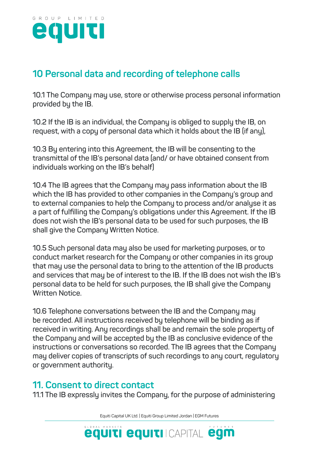

## **10 Personal data and recording of telephone calls**

**10.1 The Company may use, store or otherwise process personal information provided by the IB.**

**10.2 If the IB is an individual, the Company is obliged to supply the IB, on request, with a copy of personal data which it holds about the IB (if any),** 

**10.3 By entering into this Agreement, the IB will be consenting to the transmittal of the IB's personal data (and/ or have obtained consent from individuals working on the IB's behalf)** 

**10.4 The IB agrees that the Company may pass information about the IB which the IB has provided to other companies in the Company's group and to external companies to help the Company to process and/or analyse it as a part of fulfilling the Company's obligations under this Agreement. If the IB does not wish the IB's personal data to be used for such purposes, the IB shall give the Company Written Notice.**

**10.5 Such personal data may also be used for marketing purposes, or to conduct market research for the Company or other companies in its group that may use the personal data to bring to the attention of the IB products and services that may be of interest to the IB. If the IB does not wish the IB's personal data to be held for such purposes, the IB shall give the Company Written Notice.**

**10.6 Telephone conversations between the IB and the Company may be recorded. All instructions received by telephone will be binding as if received in writing. Any recordings shall be and remain the sole property of the Company and will be accepted by the IB as conclusive evidence of the instructions or conversations so recorded. The IB agrees that the Company may deliver copies of transcripts of such recordings to any court, regulatory or government authority.**

#### **11. Consent to direct contact**

**11.1 The IB expressly invites the Company, for the purpose of administering** 

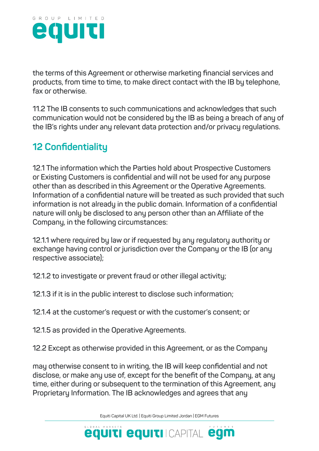

**the terms of this Agreement or otherwise marketing financial services and products, from time to time, to make direct contact with the IB by telephone, fax or otherwise.**

**11.2 The IB consents to such communications and acknowledges that such communication would not be considered by the IB as being a breach of any of the IB's rights under any relevant data protection and/or privacy regulations.**

# **12 Confidentiality**

**12.1 The information which the Parties hold about Prospective Customers or Existing Customers is confidential and will not be used for any purpose other than as described in this Agreement or the Operative Agreements. Information of a confidential nature will be treated as such provided that such information is not already in the public domain. Information of a confidential nature will only be disclosed to any person other than an Affiliate of the Company, in the following circumstances:**

**12.1.1 where required by law or if requested by any regulatory authority or exchange having control or jurisdiction over the Company or the IB (or any respective associate);**

**12.1.2 to investigate or prevent fraud or other illegal activity;**

**12.1.3 if it is in the public interest to disclose such information;**

**12.1.4 at the customer's request or with the customer's consent; or**

**12.1.5 as provided in the Operative Agreements.**

**12.2 Except as otherwise provided in this Agreement, or as the Company** 

**may otherwise consent to in writing, the IB will keep confidential and not disclose, or make any use of, except for the benefit of the Company, at any time, either during or subsequent to the termination of this Agreement, any Proprietary Information. The IB acknowledges and agrees that any**

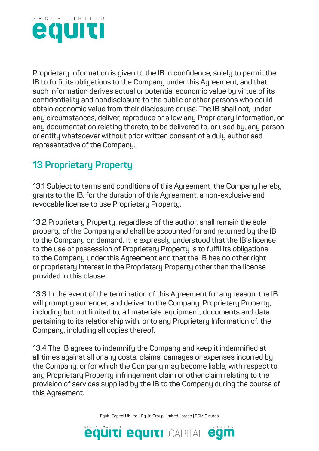

**Proprietary Information is given to the IB in confidence, solely to permit the IB to fulfil its obligations to the Company under this Agreement, and that such information derives actual or potential economic value by virtue of its confidentiality and nondisclosure to the public or other persons who could obtain economic value from their disclosure or use. The IB shall not, under any circumstances, deliver, reproduce or allow any Proprietary Information, or any documentation relating thereto, to be delivered to, or used by, any person or entity whatsoever without prior written consent of a duly authorised representative of the Company.**

# **13 Proprietary Property**

**13.1 Subject to terms and conditions of this Agreement, the Company hereby grants to the IB, for the duration of this Agreement, a non-exclusive and revocable license to use Proprietary Property.**

**13.2 Proprietary Property, regardless of the author, shall remain the sole property of the Company and shall be accounted for and returned by the IB to the Company on demand. It is expressly understood that the IB's license to the use or possession of Proprietary Property is to fulfil its obligations to the Company under this Agreement and that the IB has no other right or proprietary interest in the Proprietary Property other than the license provided in this clause.**

**13.3 In the event of the termination of this Agreement for any reason, the IB will promptly surrender, and deliver to the Company, Proprietary Property, including but not limited to, all materials, equipment, documents and data pertaining to its relationship with, or to any Proprietary Information of, the Company, including all copies thereof.**

**13.4 The IB agrees to indemnify the Company and keep it indemnified at all times against all or any costs, claims, damages or expenses incurred by the Company, or for which the Company may become liable, with respect to any Proprietary Property infringement claim or other claim relating to the provision of services supplied by the IB to the Company during the course of this Agreement.**

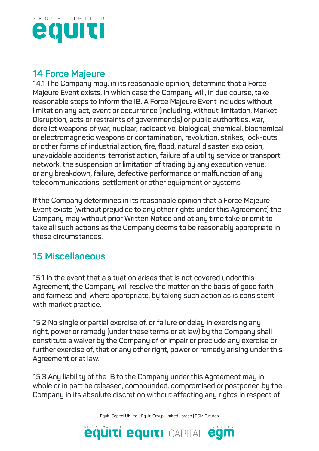

#### **14 Force Majeure**

**14.1 The Company may, in its reasonable opinion, determine that a Force Majeure Event exists, in which case the Company will, in due course, take reasonable steps to inform the IB. A Force Majeure Event includes without limitation any act, event or occurrence (including, without limitation, Market Disruption, acts or restraints of government(s) or public authorities, war, derelict weapons of war, nuclear, radioactive, biological, chemical, biochemical or electromagnetic weapons or contamination, revolution, strikes, lock-outs or other forms of industrial action, fire, flood, natural disaster, explosion, unavoidable accidents, terrorist action, failure of a utility service or transport network, the suspension or limitation of trading by any execution venue, or any breakdown, failure, defective performance or malfunction of any telecommunications, settlement or other equipment or systems**

**If the Company determines in its reasonable opinion that a Force Majeure Event exists (without prejudice to any other rights under this Agreement) the Company may without prior Written Notice and at any time take or omit to take all such actions as the Company deems to be reasonably appropriate in these circumstances.**

#### **15 Miscellaneous**

**15.1 In the event that a situation arises that is not covered under this Agreement, the Company will resolve the matter on the basis of good faith and fairness and, where appropriate, by taking such action as is consistent with market practice.**

**15.2 No single or partial exercise of, or failure or delay in exercising any right, power or remedy (under these terms or at law) by the Company shall constitute a waiver by the Company of or impair or preclude any exercise or further exercise of, that or any other right, power or remedy arising under this Agreement or at law.**

**15.3 Any liability of the IB to the Company under this Agreement may in whole or in part be released, compounded, compromised or postponed by the Company in its absolute discretion without affecting any rights in respect of**

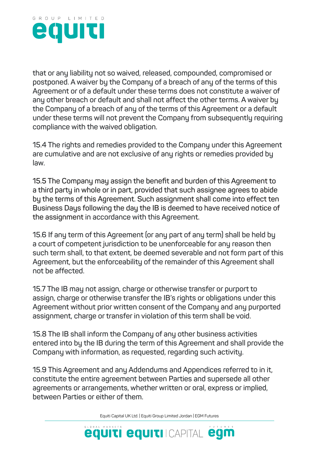

**that or any liability not so waived, released, compounded, compromised or postponed. A waiver by the Company of a breach of any of the terms of this Agreement or of a default under these terms does not constitute a waiver of any other breach or default and shall not affect the other terms. A waiver by the Company of a breach of any of the terms of this Agreement or a default under these terms will not prevent the Company from subsequently requiring compliance with the waived obligation.**

**15.4 The rights and remedies provided to the Company under this Agreement are cumulative and are not exclusive of any rights or remedies provided by law.**

**15.5 The Company may assign the benefit and burden of this Agreement to a third party in whole or in part, provided that such assignee agrees to abide by the terms of this Agreement. Such assignment shall come into effect ten Business Days following the day the IB is deemed to have received notice of the assignment in accordance with this Agreement.**

**15.6 If any term of this Agreement (or any part of any term) shall be held by a court of competent jurisdiction to be unenforceable for any reason then such term shall, to that extent, be deemed severable and not form part of this Agreement, but the enforceability of the remainder of this Agreement shall not be affected.**

**15.7 The IB may not assign, charge or otherwise transfer or purport to assign, charge or otherwise transfer the IB's rights or obligations under this Agreement without prior written consent of the Company and any purported assignment, charge or transfer in violation of this term shall be void.**

**15.8 The IB shall inform the Company of any other business activities entered into by the IB during the term of this Agreement and shall provide the Company with information, as requested, regarding such activity.**

**15.9 This Agreement and any Addendums and Appendices referred to in it, constitute the entire agreement between Parties and supersede all other agreements or arrangements, whether written or oral, express or implied, between Parties or either of them.**

Equiti Capital UK Ltd. | Equiti Group Limited Jordan | EGM Futures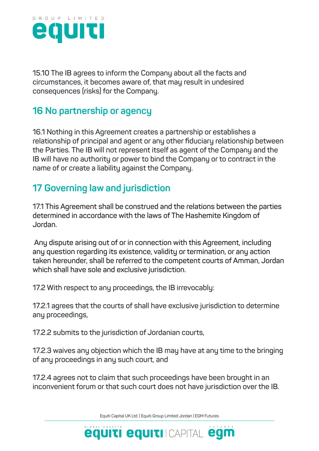

**15.10 The IB agrees to inform the Company about all the facts and circumstances, it becomes aware of, that may result in undesired consequences (risks) for the Company.**

#### **16 No partnership or agency**

**16.1 Nothing in this Agreement creates a partnership or establishes a relationship of principal and agent or any other fiduciary relationship between the Parties. The IB will not represent itself as agent of the Company and the IB will have no authority or power to bind the Company or to contract in the name of or create a liability against the Company.**

# **17 Governing law and jurisdiction**

**17.1 This Agreement shall be construed and the relations between the parties determined in accordance with the laws of The Hashemite Kingdom of Jordan.**

 **Any dispute arising out of or in connection with this Agreement, including any question regarding its existence, validity or termination, or any action taken hereunder, shall be referred to the competent courts of Amman, Jordan which shall have sole and exclusive jurisdiction.**

**17.2 With respect to any proceedings, the IB irrevocably:**

**17.2.1 agrees that the courts of shall have exclusive jurisdiction to determine any proceedings,**

**17.2.2 submits to the jurisdiction of Jordanian courts,** 

**17.2.3 waives any objection which the IB may have at any time to the bringing of any proceedings in any such court, and**

**17.2.4 agrees not to claim that such proceedings have been brought in an inconvenient forum or that such court does not have jurisdiction over the IB.**

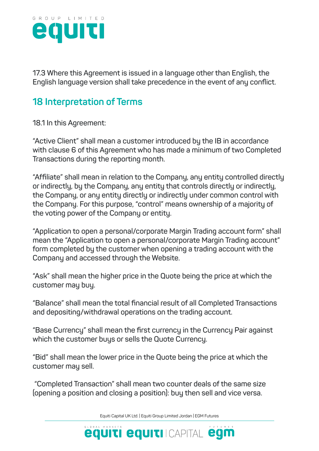

**17.3 Where this Agreement is issued in a language other than English, the English language version shall take precedence in the event of any conflict.**

## **18 Interpretation of Terms**

**18.1 In this Agreement:**

**"Active Client" shall mean a customer introduced by the IB in accordance with clause 6 of this Agreement who has made a minimum of two Completed Transactions during the reporting month.**

**"Affiliate" shall mean in relation to the Company, any entity controlled directly or indirectly, by the Company, any entity that controls directly or indirectly, the Company, or any entity directly or indirectly under common control with the Company. For this purpose, "control" means ownership of a majority of the voting power of the Company or entity.**

**"Application to open a personal/corporate Margin Trading account form" shall mean the "Application to open a personal/corporate Margin Trading account" form completed by the customer when opening a trading account with the Company and accessed through the Website.**

**"Ask" shall mean the higher price in the Quote being the price at which the customer may buy.**

**"Balance" shall mean the total financial result of all Completed Transactions and depositing/withdrawal operations on the trading account.**

**"Base Currency" shall mean the first currency in the Currency Pair against which the customer buys or sells the Quote Currency.**

**"Bid" shall mean the lower price in the Quote being the price at which the customer may sell.**

 **"Completed Transaction" shall mean two counter deals of the same size (opening a position and closing a position): buy then sell and vice versa.**

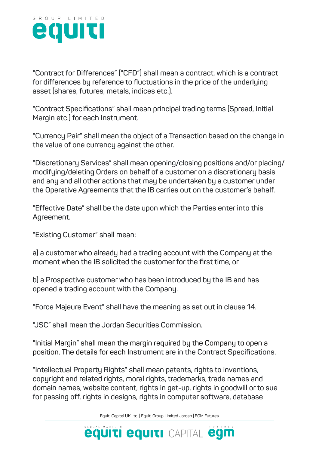

**"Contract for Differences" ("CFD") shall mean a contract, which is a contract for differences by reference to fluctuations in the price of the underlying asset (shares, futures, metals, indices etc.).**

**"Contract Specifications" shall mean principal trading terms (Spread, Initial Margin etc.) for each Instrument.**

**"Currency Pair" shall mean the object of a Transaction based on the change in the value of one currency against the other.**

**"Discretionary Services" shall mean opening/closing positions and/or placing/ modifying/deleting Orders on behalf of a customer on a discretionary basis and any and all other actions that may be undertaken by a customer under the Operative Agreements that the IB carries out on the customer's behalf.**

**"Effective Date" shall be the date upon which the Parties enter into this Agreement.**

**"Existing Customer" shall mean:**

**a) a customer who already had a trading account with the Company at the moment when the IB solicited the customer for the first time, or**

**b) a Prospective customer who has been introduced by the IB and has opened a trading account with the Company.**

**"Force Majeure Event" shall have the meaning as set out in clause 14.**

**"JSC" shall mean the Jordan Securities Commission.**

**"Initial Margin" shall mean the margin required by the Company to open a position. The details for each Instrument are in the Contract Specifications.**

**"Intellectual Property Rights" shall mean patents, rights to inventions, copyright and related rights, moral rights, trademarks, trade names and domain names, website content, rights in get-up, rights in goodwill or to sue for passing off, rights in designs, rights in computer software, database**

Equiti Capital UK Ltd. | Equiti Group Limited Jordan | EGM Futures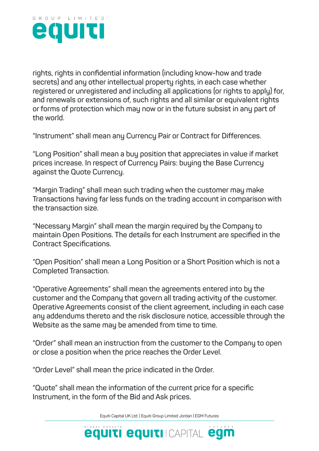

**rights, rights in confidential information (including know-how and trade secrets) and any other intellectual property rights, in each case whether registered or unregistered and including all applications (or rights to apply) for, and renewals or extensions of, such rights and all similar or equivalent rights or forms of protection which may now or in the future subsist in any part of the world.**

**"Instrument" shall mean any Currency Pair or Contract for Differences.**

**"Long Position" shall mean a buy position that appreciates in value if market prices increase. In respect of Currency Pairs: buying the Base Currency against the Quote Currency.**

**"Margin Trading" shall mean such trading when the customer may make Transactions having far less funds on the trading account in comparison with the transaction size.**

**"Necessary Margin" shall mean the margin required by the Company to maintain Open Positions. The details for each Instrument are specified in the Contract Specifications.**

**"Open Position" shall mean a Long Position or a Short Position which is not a Completed Transaction.**

**"Operative Agreements" shall mean the agreements entered into by the customer and the Company that govern all trading activity of the customer. Operative Agreements consist of the client agreement, including in each case any addendums thereto and the risk disclosure notice, accessible through the Website as the same may be amended from time to time.**

**"Order" shall mean an instruction from the customer to the Company to open or close a position when the price reaches the Order Level.**

**"Order Level" shall mean the price indicated in the Order.**

**"Quote" shall mean the information of the current price for a specific Instrument, in the form of the Bid and Ask prices.**

Equiti Capital UK Ltd. | Equiti Group Limited Jordan | EGM Futures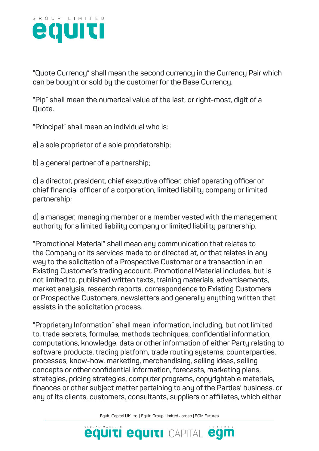

**"Quote Currency" shall mean the second currency in the Currency Pair which can be bought or sold by the customer for the Base Currency.**

**"Pip" shall mean the numerical value of the last, or right-most, digit of a Quote.**

**"Principal" shall mean an individual who is:**

**a) a sole proprietor of a sole proprietorship;**

**b) a general partner of a partnership;**

**c) a director, president, chief executive officer, chief operating officer or chief financial officer of a corporation, limited liability company or limited partnership;**

**d) a manager, managing member or a member vested with the management authority for a limited liability company or limited liability partnership.**

**"Promotional Material" shall mean any communication that relates to the Company or its services made to or directed at, or that relates in any way to the solicitation of a Prospective Customer or a transaction in an Existing Customer's trading account. Promotional Material includes, but is not limited to, published written texts, training materials, advertisements, market analysis, research reports, correspondence to Existing Customers or Prospective Customers, newsletters and generally anything written that assists in the solicitation process.**

**"Proprietary Information" shall mean information, including, but not limited to, trade secrets, formulae, methods techniques, confidential information, computations, knowledge, data or other information of either Party relating to software products, trading platform, trade routing systems, counterparties, processes, know-how, marketing, merchandising, selling ideas, selling concepts or other confidential information, forecasts, marketing plans, strategies, pricing strategies, computer programs, copyrightable materials, finances or other subject matter pertaining to any of the Parties' business, or any of its clients, customers, consultants, suppliers or affiliates, which either**

Equiti Capital UK Ltd. | Equiti Group Limited Jordan | EGM Futures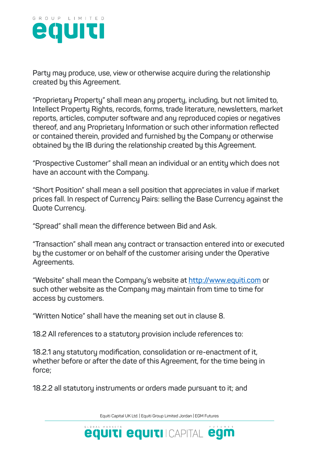

**Party may produce, use, view or otherwise acquire during the relationship created by this Agreement.**

**"Proprietary Property" shall mean any property, including, but not limited to, Intellect Property Rights, records, forms, trade literature, newsletters, market reports, articles, computer software and any reproduced copies or negatives thereof, and any Proprietary Information or such other information reflected or contained therein, provided and furnished by the Company or otherwise obtained by the IB during the relationship created by this Agreement.**

**"Prospective Customer" shall mean an individual or an entity which does not have an account with the Company.**

**"Short Position" shall mean a sell position that appreciates in value if market prices fall. In respect of Currency Pairs: selling the Base Currency against the Quote Currency.**

**"Spread" shall mean the difference between Bid and Ask.**

**"Transaction" shall mean any contract or transaction entered into or executed by the customer or on behalf of the customer arising under the Operative Agreements.**

**"Website" shall mean the Company's website at http://www.equiti.com or such other website as the Company may maintain from time to time for access by customers.**

**"Written Notice" shall have the meaning set out in clause 8.**

**18.2 All references to a statutory provision include references to:**

**18.2.1 any statutory modification, consolidation or re-enactment of it, whether before or after the date of this Agreement, for the time being in force;**

**18.2.2 all statutory instruments or orders made pursuant to it; and**

Equiti Capital UK Ltd. | Equiti Group Limited Jordan | EGM Futures